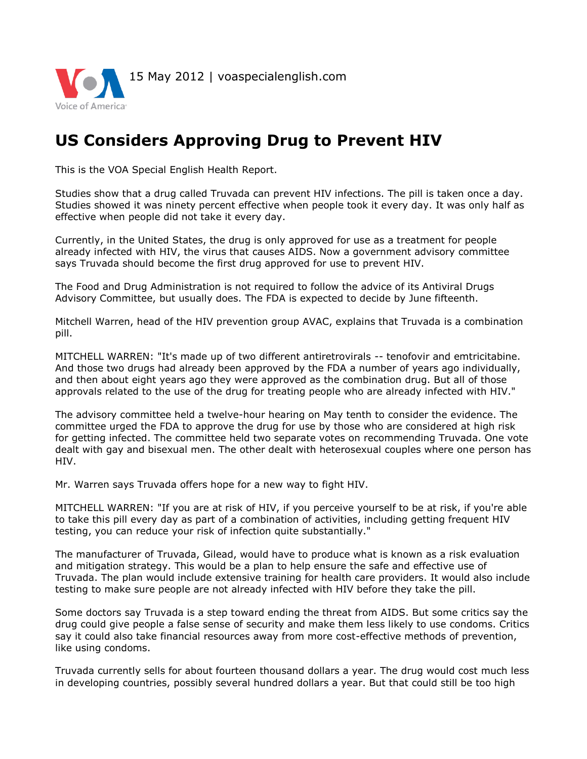

## **US Considers Approving Drug to Prevent HIV**

This is the VOA Special English Health Report.

Studies show that a drug called Truvada can prevent HIV infections. The pill is taken once a day. Studies showed it was ninety percent effective when people took it every day. It was only half as effective when people did not take it every day.

Currently, in the United States, the drug is only approved for use as a treatment for people already infected with HIV, the virus that causes AIDS. Now a government advisory committee says Truvada should become the first drug approved for use to prevent HIV.

The Food and Drug Administration is not required to follow the advice of its Antiviral Drugs Advisory Committee, but usually does. The FDA is expected to decide by June fifteenth.

Mitchell Warren, head of the HIV prevention group AVAC, explains that Truvada is a combination pill.

MITCHELL WARREN: "It's made up of two different antiretrovirals -- tenofovir and emtricitabine. And those two drugs had already been approved by the FDA a number of years ago individually, and then about eight years ago they were approved as the combination drug. But all of those approvals related to the use of the drug for treating people who are already infected with HIV."

The advisory committee held a twelve-hour hearing on May tenth to consider the evidence. The committee urged the FDA to approve the drug for use by those who are considered at high risk for getting infected. The committee held two separate votes on recommending Truvada. One vote dealt with gay and bisexual men. The other dealt with heterosexual couples where one person has HIV.

Mr. Warren says Truvada offers hope for a new way to fight HIV.

MITCHELL WARREN: "If you are at risk of HIV, if you perceive yourself to be at risk, if you're able to take this pill every day as part of a combination of activities, including getting frequent HIV testing, you can reduce your risk of infection quite substantially."

The manufacturer of Truvada, Gilead, would have to produce what is known as a risk evaluation and mitigation strategy. This would be a plan to help ensure the safe and effective use of Truvada. The plan would include extensive training for health care providers. It would also include testing to make sure people are not already infected with HIV before they take the pill.

Some doctors say Truvada is a step toward ending the threat from AIDS. But some critics say the drug could give people a false sense of security and make them less likely to use condoms. Critics say it could also take financial resources away from more cost-effective methods of prevention, like using condoms.

Truvada currently sells for about fourteen thousand dollars a year. The drug would cost much less in developing countries, possibly several hundred dollars a year. But that could still be too high